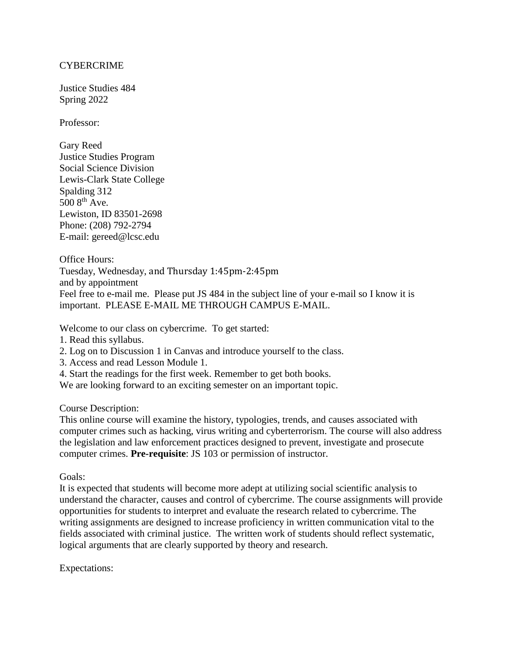## CYBERCRIME

Justice Studies 484 Spring 2022

Professor:

Gary Reed Justice Studies Program Social Science Division Lewis-Clark State College Spalding 312 500 8<sup>th</sup> Ave. Lewiston, ID 83501-2698 Phone: (208) 792-2794 E-mail: gereed@lcsc.edu

Office Hours: Tuesday, Wednesday, and Thursday 1:45pm-2:45pm and by appointment Feel free to e-mail me. Please put JS 484 in the subject line of your e-mail so I know it is important. PLEASE E-MAIL ME THROUGH CAMPUS E-MAIL.

Welcome to our class on cybercrime. To get started:

- 1. Read this syllabus.
- 2. Log on to Discussion 1 in Canvas and introduce yourself to the class.
- 3. Access and read Lesson Module 1.
- 4. Start the readings for the first week. Remember to get both books.
- We are looking forward to an exciting semester on an important topic.

Course Description:

This online course will examine the history, typologies, trends, and causes associated with computer crimes such as hacking, virus writing and cyberterrorism. The course will also address the legislation and law enforcement practices designed to prevent, investigate and prosecute computer crimes. **Pre-requisite**: JS 103 or permission of instructor.

Goals:

It is expected that students will become more adept at utilizing social scientific analysis to understand the character, causes and control of cybercrime. The course assignments will provide opportunities for students to interpret and evaluate the research related to cybercrime. The writing assignments are designed to increase proficiency in written communication vital to the fields associated with criminal justice. The written work of students should reflect systematic, logical arguments that are clearly supported by theory and research.

Expectations: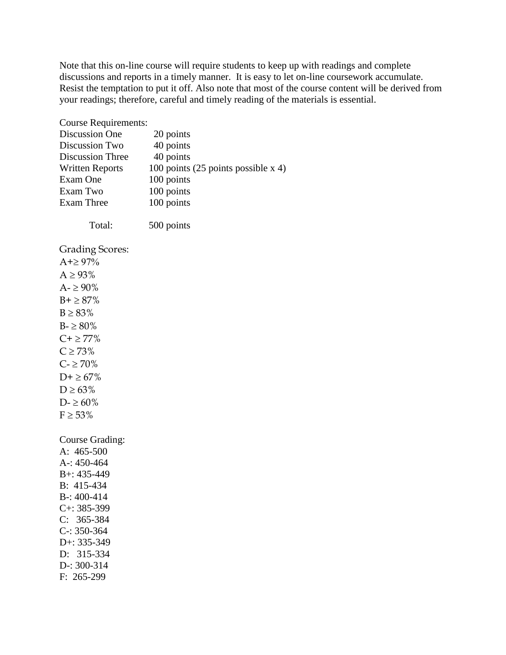Note that this on-line course will require students to keep up with readings and complete discussions and reports in a timely manner. It is easy to let on-line coursework accumulate. Resist the temptation to put it off. Also note that most of the course content will be derived from your readings; therefore, careful and timely reading of the materials is essential.

| <b>Course Requirements:</b> |                                       |
|-----------------------------|---------------------------------------|
| <b>Discussion One</b>       | 20 points                             |
| Discussion Two              | 40 points                             |
| <b>Discussion Three</b>     | 40 points                             |
| <b>Written Reports</b>      | 100 points (25 points possible $x$ 4) |
| Exam One                    | 100 points                            |
| Exam Two                    | 100 points                            |
| <b>Exam Three</b>           | 100 points                            |
| Total:                      | 500 points                            |
| Grading Scores:             |                                       |
| $A + \geq 97\%$             |                                       |
| $A \geq 93\%$               |                                       |
| $A - \geq 90\%$             |                                       |
| $B + \ge 87\%$              |                                       |
| $B \geq 83\%$               |                                       |
| $B - \ge 80\%$              |                                       |
| $C + \geq 77\%$             |                                       |
| $C \ge 73\%$                |                                       |
| $C - \geq 70\%$             |                                       |
| $D+ \geq 67\%$              |                                       |
| $D \ge 63\%$                |                                       |
| $D - \ge 60\%$              |                                       |
| $F \geq 53\%$               |                                       |
|                             |                                       |
| Course Grading:             |                                       |
| A: 465-500                  |                                       |
| A-: $450 - 464$             |                                       |
| B+: 435-449                 |                                       |
| B: 415-434                  |                                       |
| $B - 1400 - 414$            |                                       |
| $C_{+}$ : 385-399           |                                       |
| $C: 365-384$                |                                       |
| $C: 350-364$                |                                       |
| $D+335-349$                 |                                       |
| D: 315-334                  |                                       |
| $D: 300-314$                |                                       |
| F: 265-299                  |                                       |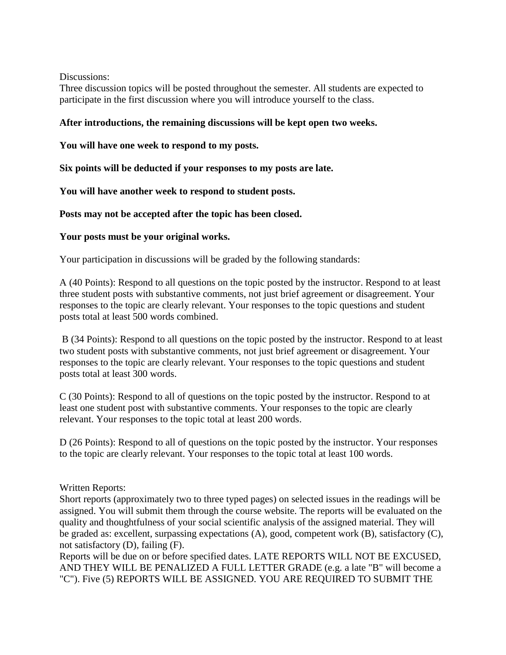Discussions:

Three discussion topics will be posted throughout the semester. All students are expected to participate in the first discussion where you will introduce yourself to the class.

# **After introductions, the remaining discussions will be kept open two weeks.**

**You will have one week to respond to my posts.** 

**Six points will be deducted if your responses to my posts are late.**

**You will have another week to respond to student posts.**

**Posts may not be accepted after the topic has been closed.**

### **Your posts must be your original works.**

Your participation in discussions will be graded by the following standards:

A (40 Points): Respond to all questions on the topic posted by the instructor. Respond to at least three student posts with substantive comments, not just brief agreement or disagreement. Your responses to the topic are clearly relevant. Your responses to the topic questions and student posts total at least 500 words combined.

B (34 Points): Respond to all questions on the topic posted by the instructor. Respond to at least two student posts with substantive comments, not just brief agreement or disagreement. Your responses to the topic are clearly relevant. Your responses to the topic questions and student posts total at least 300 words.

C (30 Points): Respond to all of questions on the topic posted by the instructor. Respond to at least one student post with substantive comments. Your responses to the topic are clearly relevant. Your responses to the topic total at least 200 words.

D (26 Points): Respond to all of questions on the topic posted by the instructor. Your responses to the topic are clearly relevant. Your responses to the topic total at least 100 words.

### Written Reports:

Short reports (approximately two to three typed pages) on selected issues in the readings will be assigned. You will submit them through the course website. The reports will be evaluated on the quality and thoughtfulness of your social scientific analysis of the assigned material. They will be graded as: excellent, surpassing expectations (A), good, competent work (B), satisfactory (C), not satisfactory (D), failing (F).

Reports will be due on or before specified dates. LATE REPORTS WILL NOT BE EXCUSED, AND THEY WILL BE PENALIZED A FULL LETTER GRADE (e.g. a late "B" will become a "C"). Five (5) REPORTS WILL BE ASSIGNED. YOU ARE REQUIRED TO SUBMIT THE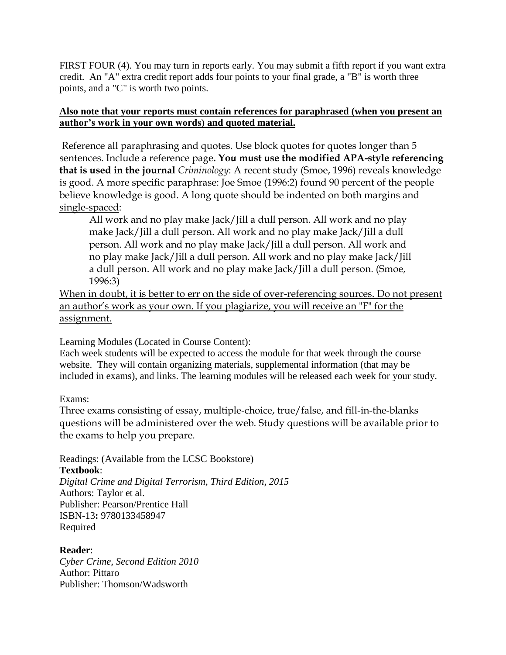FIRST FOUR (4). You may turn in reports early. You may submit a fifth report if you want extra credit. An "A" extra credit report adds four points to your final grade, a "B" is worth three points, and a "C" is worth two points.

# **Also note that your reports must contain references for paraphrased (when you present an author's work in your own words) and quoted material.**

Reference all paraphrasing and quotes. Use block quotes for quotes longer than 5 sentences. Include a reference page**. You must use the modified APA-style referencing that is used in the journal** *Criminology*: A recent study (Smoe, 1996) reveals knowledge is good. A more specific paraphrase: Joe Smoe (1996:2) found 90 percent of the people believe knowledge is good. A long quote should be indented on both margins and single-spaced:

All work and no play make Jack/Jill a dull person. All work and no play make Jack/Jill a dull person. All work and no play make Jack/Jill a dull person. All work and no play make Jack/Jill a dull person. All work and no play make Jack/Jill a dull person. All work and no play make Jack/Jill a dull person. All work and no play make Jack/Jill a dull person. (Smoe, 1996:3)

When in doubt, it is better to err on the side of over-referencing sources. Do not present an author's work as your own. If you plagiarize, you will receive an "F" for the assignment.

Learning Modules (Located in Course Content):

Each week students will be expected to access the module for that week through the course website. They will contain organizing materials, supplemental information (that may be included in exams), and links. The learning modules will be released each week for your study.

Exams:

Three exams consisting of essay, multiple-choice, true/false, and fill-in-the-blanks questions will be administered over the web. Study questions will be available prior to the exams to help you prepare.

Readings: (Available from the LCSC Bookstore) **Textbook**: *Digital Crime and Digital Terrorism, Third Edition, 2015* Authors: Taylor et al. Publisher: Pearson/Prentice Hall ISBN-13**:** 9780133458947

**Reader**:

Required

*Cyber Crime, Second Edition 2010* Author: Pittaro Publisher: Thomson/Wadsworth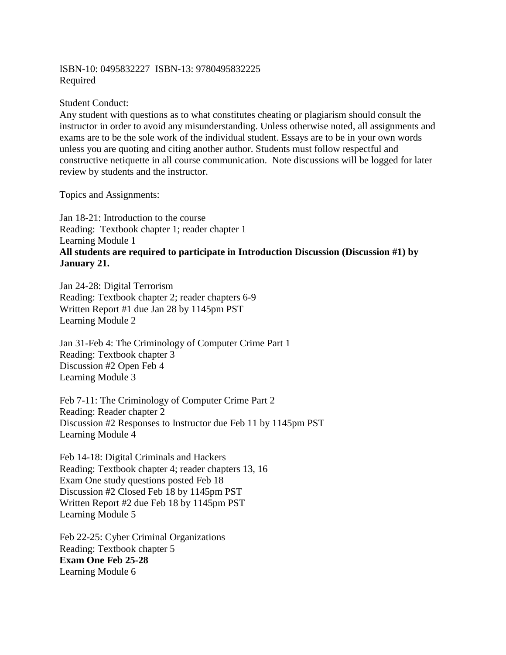### ISBN-10: 0495832227 ISBN-13: 9780495832225 Required

### Student Conduct:

Any student with questions as to what constitutes cheating or plagiarism should consult the instructor in order to avoid any misunderstanding. Unless otherwise noted, all assignments and exams are to be the sole work of the individual student. Essays are to be in your own words unless you are quoting and citing another author. Students must follow respectful and constructive netiquette in all course communication. Note discussions will be logged for later review by students and the instructor.

Topics and Assignments:

Jan 18-21: Introduction to the course Reading: Textbook chapter 1; reader chapter 1 Learning Module 1 **All students are required to participate in Introduction Discussion (Discussion #1) by January 21.**

Jan 24-28: Digital Terrorism Reading: Textbook chapter 2; reader chapters 6-9 Written Report #1 due Jan 28 by 1145pm PST Learning Module 2

Jan 31-Feb 4: The Criminology of Computer Crime Part 1 Reading: Textbook chapter 3 Discussion #2 Open Feb 4 Learning Module 3

Feb 7-11: The Criminology of Computer Crime Part 2 Reading: Reader chapter 2 Discussion #2 Responses to Instructor due Feb 11 by 1145pm PST Learning Module 4

Feb 14-18: Digital Criminals and Hackers Reading: Textbook chapter 4; reader chapters 13, 16 Exam One study questions posted Feb 18 Discussion #2 Closed Feb 18 by 1145pm PST Written Report #2 due Feb 18 by 1145pm PST Learning Module 5

Feb 22-25: Cyber Criminal Organizations Reading: Textbook chapter 5 **Exam One Feb 25-28** Learning Module 6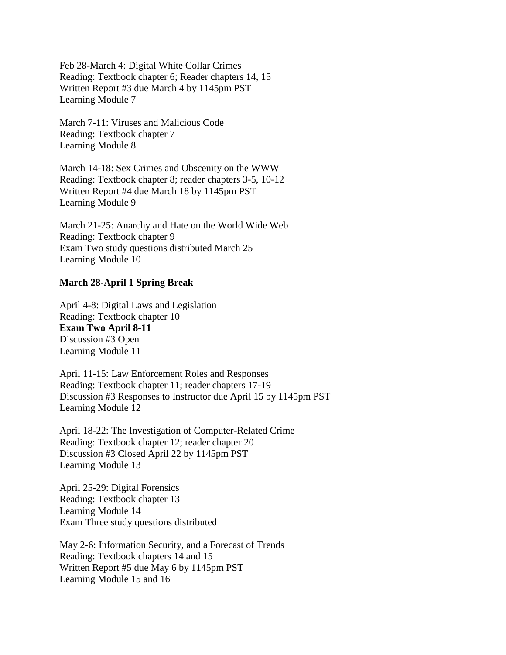Feb 28-March 4: Digital White Collar Crimes Reading: Textbook chapter 6; Reader chapters 14, 15 Written Report #3 due March 4 by 1145pm PST Learning Module 7

March 7-11: Viruses and Malicious Code Reading: Textbook chapter 7 Learning Module 8

March 14-18: Sex Crimes and Obscenity on the WWW Reading: Textbook chapter 8; reader chapters 3-5, 10-12 Written Report #4 due March 18 by 1145pm PST Learning Module 9

March 21-25: Anarchy and Hate on the World Wide Web Reading: Textbook chapter 9 Exam Two study questions distributed March 25 Learning Module 10

#### **March 28-April 1 Spring Break**

April 4-8: Digital Laws and Legislation Reading: Textbook chapter 10 **Exam Two April 8-11** Discussion #3 Open Learning Module 11

April 11-15: Law Enforcement Roles and Responses Reading: Textbook chapter 11; reader chapters 17-19 Discussion #3 Responses to Instructor due April 15 by 1145pm PST Learning Module 12

April 18-22: The Investigation of Computer-Related Crime Reading: Textbook chapter 12; reader chapter 20 Discussion #3 Closed April 22 by 1145pm PST Learning Module 13

April 25-29: Digital Forensics Reading: Textbook chapter 13 Learning Module 14 Exam Three study questions distributed

May 2-6: Information Security, and a Forecast of Trends Reading: Textbook chapters 14 and 15 Written Report #5 due May 6 by 1145pm PST Learning Module 15 and 16